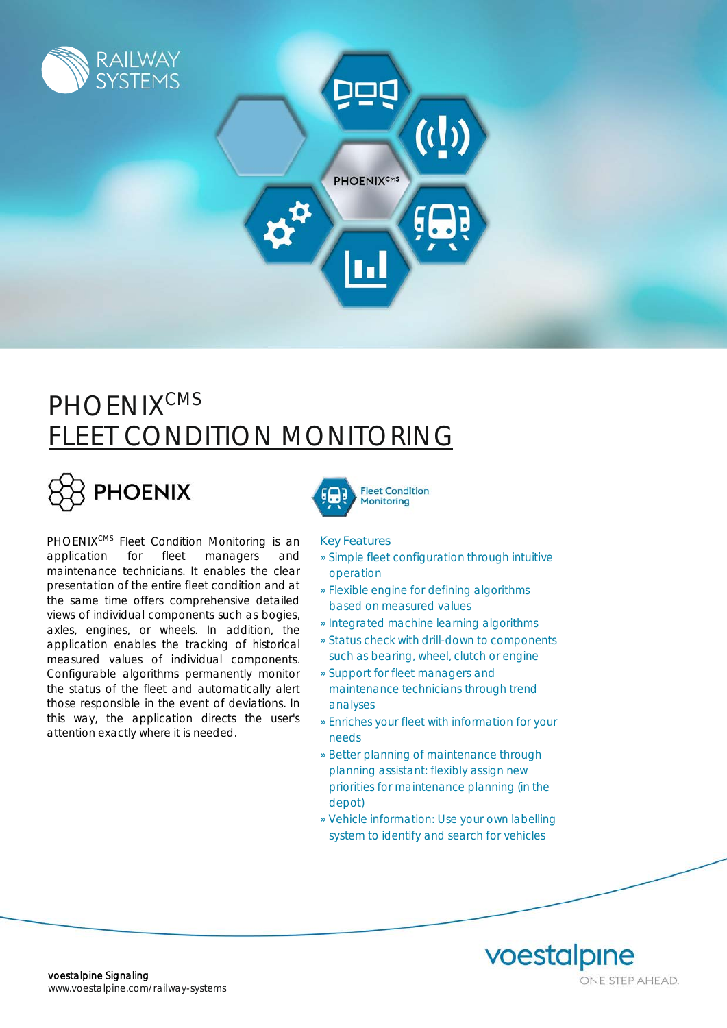

## **PHOENIX<sup>CMS</sup> FLEET CONDITION MONITORING**

# PHOENIX

PHOENIX<sup>CMS</sup> Fleet Condition Monitoring is an application for fleet managers and maintenance technicians. It enables the clear presentation of the entire fleet condition and at the same time offers comprehensive detailed views of individual components such as bogies, axles, engines, or wheels. In addition, the application enables the tracking of historical measured values of individual components. Configurable algorithms permanently monitor the status of the fleet and automatically alert those responsible in the event of deviations. In this way, the application directs the user's attention exactly where it is needed.



#### Key Features

- » Simple fleet configuration through intuitive operation
- » Flexible engine for defining algorithms based on measured values
- » Integrated machine learning algorithms
- » Status check with drill-down to components such as bearing, wheel, clutch or engine
- » Support for fleet managers and maintenance technicians through trend analyses
- » Enriches your fleet with information for your needs
- » Better planning of maintenance through planning assistant: flexibly assign new priorities for maintenance planning (in the depot)
- » Vehicle information: Use your own labelling system to identify and search for vehicles